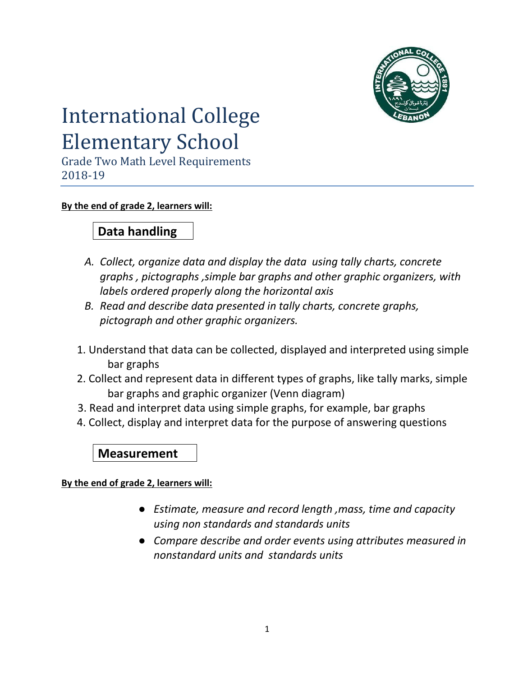

# International College Elementary School

Grade Two Math Level Requirements 2018-19

#### **By the end of grade 2, learners will:**

## **Data handling**

- *A. Collect, organize data and display the data using tally charts, concrete graphs , pictographs ,simple bar graphs and other graphic organizers, with labels ordered properly along the horizontal axis*
- *B. Read and describe data presented in tally charts, concrete graphs, pictograph and other graphic organizers.*
- 1. Understand that data can be collected, displayed and interpreted using simple bar graphs
- 2. Collect and represent data in different types of graphs, like tally marks, simple bar graphs and graphic organizer (Venn diagram)
- 3. Read and interpret data using simple graphs, for example, bar graphs
- 4. Collect, display and interpret data for the purpose of answering questions

**Measurement**

**By the end of grade 2, learners will:**

- *Estimate, measure and record length ,mass, time and capacity using non standards and standards units*
- *Compare describe and order events using attributes measured in nonstandard units and standards units*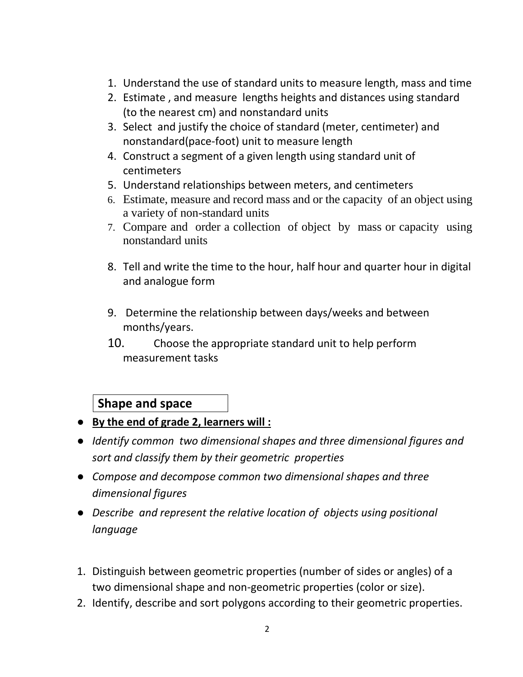- 1. Understand the use of standard units to measure length, mass and time
- 2. Estimate , and measure lengths heights and distances using standard (to the nearest cm) and nonstandard units
- 3. Select and justify the choice of standard (meter, centimeter) and nonstandard(pace-foot) unit to measure length
- 4. Construct a segment of a given length using standard unit of centimeters
- 5. Understand relationships between meters, and centimeters
- 6. Estimate, measure and record mass and or the capacity of an object using a variety of non-standard units
- 7. Compare and order a collection of object by mass or capacity using nonstandard units
- 8. Tell and write the time to the hour, half hour and quarter hour in digital and analogue form
- 9. Determine the relationship between days/weeks and between months/years.
- 10. Choose the appropriate standard unit to help perform measurement tasks

## **Shape and space**

- **By the end of grade 2, learners will :**
- *Identify common two dimensional shapes and three dimensional figures and sort and classify them by their geometric properties*
- *Compose and decompose common two dimensional shapes and three dimensional figures*
- *Describe and represent the relative location of objects using positional language*
- 1. Distinguish between geometric properties (number of sides or angles) of a two dimensional shape and non-geometric properties (color or size).
- 2. Identify, describe and sort polygons according to their geometric properties.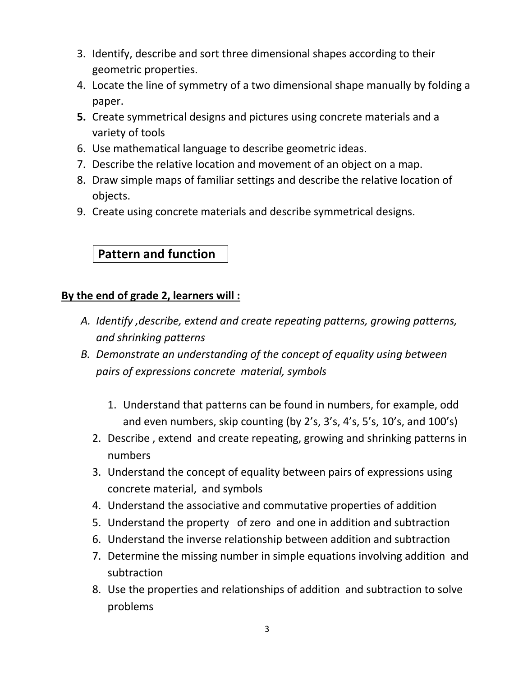- 3. Identify, describe and sort three dimensional shapes according to their geometric properties.
- 4. Locate the line of symmetry of a two dimensional shape manually by folding a paper.
- **5.** Create symmetrical designs and pictures using concrete materials and a variety of tools
- 6. Use mathematical language to describe geometric ideas.
- 7. Describe the relative location and movement of an object on a map.
- 8. Draw simple maps of familiar settings and describe the relative location of objects.
- 9. Create using concrete materials and describe symmetrical designs.

## **Pattern and function**

### **By the end of grade 2, learners will :**

- *A. Identify ,describe, extend and create repeating patterns, growing patterns, and shrinking patterns*
- *B. Demonstrate an understanding of the concept of equality using between pairs of expressions concrete material, symbols*
	- 1. Understand that patterns can be found in numbers, for example, odd and even numbers, skip counting (by 2's, 3's, 4's, 5's, 10's, and 100's)
	- 2. Describe , extend and create repeating, growing and shrinking patterns in numbers
	- 3. Understand the concept of equality between pairs of expressions using concrete material, and symbols
	- 4. Understand the associative and commutative properties of addition
	- 5. Understand the property of zero and one in addition and subtraction
	- 6. Understand the inverse relationship between addition and subtraction
	- 7. Determine the missing number in simple equations involving addition and subtraction
	- 8. Use the properties and relationships of addition and subtraction to solve problems